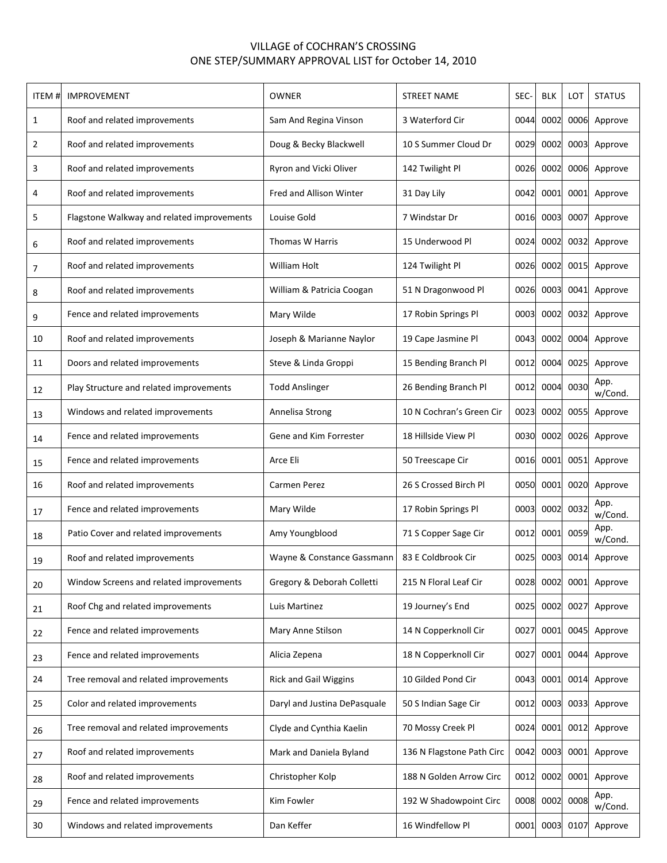## VILLAGE of COCHRAN'S CROSSING ONE STEP/SUMMARY APPROVAL LIST for October 14, 2010

| ITEM# | <b>IMPROVEMENT</b>                         | OWNER                        | <b>STREET NAME</b>        | SEC- | <b>BLK</b> | LOT  | <b>STATUS</b>   |
|-------|--------------------------------------------|------------------------------|---------------------------|------|------------|------|-----------------|
| 1     | Roof and related improvements              | Sam And Regina Vinson        | 3 Waterford Cir           | 0044 | 0002       | 0006 | Approve         |
| 2     | Roof and related improvements              | Doug & Becky Blackwell       | 10 S Summer Cloud Dr      | 0029 | 0002       | 0003 | Approve         |
| 3     | Roof and related improvements              | Ryron and Vicki Oliver       | 142 Twilight Pl           | 0026 | 0002       | 0006 | Approve         |
| 4     | Roof and related improvements              | Fred and Allison Winter      | 31 Day Lily               | 0042 | 0001       | 0001 | Approve         |
| 5     | Flagstone Walkway and related improvements | Louise Gold                  | 7 Windstar Dr             | 0016 | 0003       | 0007 | Approve         |
| 6     | Roof and related improvements              | <b>Thomas W Harris</b>       | 15 Underwood Pl           | 0024 | 0002       | 0032 | Approve         |
| 7     | Roof and related improvements              | William Holt                 | 124 Twilight Pl           | 0026 | 0002       | 0015 | Approve         |
| 8     | Roof and related improvements              | William & Patricia Coogan    | 51 N Dragonwood Pl        | 0026 | 0003       | 0041 | Approve         |
| 9     | Fence and related improvements             | Mary Wilde                   | 17 Robin Springs Pl       | 0003 | 0002       | 0032 | Approve         |
| 10    | Roof and related improvements              | Joseph & Marianne Naylor     | 19 Cape Jasmine Pl        | 0043 | 0002       | 0004 | Approve         |
| 11    | Doors and related improvements             | Steve & Linda Groppi         | 15 Bending Branch Pl      | 0012 | 0004       | 0025 | Approve         |
| 12    | Play Structure and related improvements    | <b>Todd Anslinger</b>        | 26 Bending Branch Pl      | 0012 | 0004       | 0030 | App.<br>w/Cond. |
| 13    | Windows and related improvements           | Annelisa Strong              | 10 N Cochran's Green Cir  | 0023 | 0002       | 0055 | Approve         |
| 14    | Fence and related improvements             | Gene and Kim Forrester       | 18 Hillside View Pl       | 0030 | 0002       | 0026 | Approve         |
| 15    | Fence and related improvements             | Arce Eli                     | 50 Treescape Cir          | 0016 | 0001       | 0051 | Approve         |
| 16    | Roof and related improvements              | Carmen Perez                 | 26 S Crossed Birch Pl     | 0050 | 0001       | 0020 | Approve         |
| 17    | Fence and related improvements             | Mary Wilde                   | 17 Robin Springs Pl       | 0003 | 0002       | 0032 | App.<br>w/Cond. |
| 18    | Patio Cover and related improvements       | Amy Youngblood               | 71 S Copper Sage Cir      | 0012 | 0001       | 0059 | App.<br>w/Cond. |
| 19    | Roof and related improvements              | Wayne & Constance Gassmann   | 83 E Coldbrook Cir        | 0025 | 0003       | 0014 | Approve         |
| 20    | Window Screens and related improvements    | Gregory & Deborah Colletti   | 215 N Floral Leaf Cir     | 0028 | 0002       | 0001 | Approve         |
| 21    | Roof Chg and related improvements          | Luis Martinez                | 19 Journey's End          | 0025 | 0002       | 0027 | Approve         |
| 22    | Fence and related improvements             | Mary Anne Stilson            | 14 N Copperknoll Cir      | 0027 | 0001       | 0045 | Approve         |
| 23    | Fence and related improvements             | Alicia Zepena                | 18 N Copperknoll Cir      | 0027 | 0001       | 0044 | Approve         |
| 24    | Tree removal and related improvements      | <b>Rick and Gail Wiggins</b> | 10 Gilded Pond Cir        | 0043 | 0001       | 0014 | Approve         |
| 25    | Color and related improvements             | Daryl and Justina DePasquale | 50 S Indian Sage Cir      | 0012 | 0003       | 0033 | Approve         |
| 26    | Tree removal and related improvements      | Clyde and Cynthia Kaelin     | 70 Mossy Creek Pl         | 0024 | 0001       | 0012 | Approve         |
| 27    | Roof and related improvements              | Mark and Daniela Byland      | 136 N Flagstone Path Circ | 0042 | 0003       | 0001 | Approve         |
| 28    | Roof and related improvements              | Christopher Kolp             | 188 N Golden Arrow Circ   | 0012 | 0002       | 0001 | Approve         |
| 29    | Fence and related improvements             | Kim Fowler                   | 192 W Shadowpoint Circ    | 0008 | 0002       | 0008 | App.<br>w/Cond. |
| 30    | Windows and related improvements           | Dan Keffer                   | 16 Windfellow Pl          | 0001 | 0003       | 0107 | Approve         |